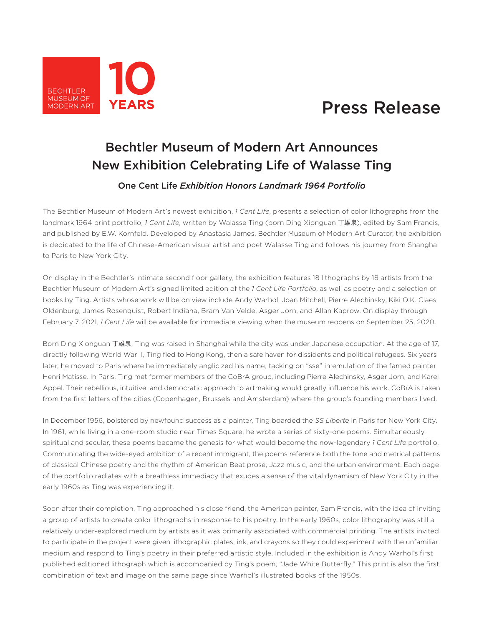

## Press Release

## Bechtler Museum of Modern Art Announces New Exhibition Celebrating Life of Walasse Ting

One Cent Life *Exhibition Honors Landmark 1964 Portfolio* 

The Bechtler Museum of Modern Art's newest exhibition, *1 Cent Life*, presents a selection of color lithographs from the landmark 1964 print portfolio, *1 Cent Life*, written by Walasse Ting (born Ding Xionguan 丁雄泉), edited by Sam Francis, and published by E.W. Kornfeld. Developed by Anastasia James, Bechtler Museum of Modern Art Curator, the exhibition is dedicated to the life of Chinese-American visual artist and poet Walasse Ting and follows his journey from Shanghai to Paris to New York City.

On display in the Bechtler's intimate second floor gallery, the exhibition features 18 lithographs by 18 artists from the Bechtler Museum of Modern Art's signed limited edition of the *1 Cent Life Portfolio*, as well as poetry and a selection of books by Ting. Artists whose work will be on view include Andy Warhol, Joan Mitchell, Pierre Alechinsky, Kiki O.K. Claes Oldenburg, James Rosenquist, Robert Indiana, Bram Van Velde, Asger Jorn, and Allan Kaprow. On display through February 7, 2021, *1 Cent Life* will be available for immediate viewing when the museum reopens on September 25, 2020.

Born Ding Xionguan 丁雄泉, Ting was raised in Shanghai while the city was under Japanese occupation. At the age of 17, directly following World War II, Ting fled to Hong Kong, then a safe haven for dissidents and political refugees. Six years later, he moved to Paris where he immediately anglicized his name, tacking on "sse" in emulation of the famed painter Henri Matisse. In Paris, Ting met former members of the CoBrA group, including Pierre Alechinsky, Asger Jorn, and Karel Appel. Their rebellious, intuitive, and democratic approach to artmaking would greatly influence his work. CoBrA is taken from the first letters of the cities (Copenhagen, Brussels and Amsterdam) where the group's founding members lived.

In December 1956, bolstered by newfound success as a painter, Ting boarded the *SS Liberte* in Paris for New York City. In 1961, while living in a one-room studio near Times Square, he wrote a series of sixty-one poems. Simultaneously spiritual and secular, these poems became the genesis for what would become the now-legendary *1 Cent Life* portfolio. Communicating the wide-eyed ambition of a recent immigrant, the poems reference both the tone and metrical patterns of classical Chinese poetry and the rhythm of American Beat prose, Jazz music, and the urban environment. Each page of the portfolio radiates with a breathless immediacy that exudes a sense of the vital dynamism of New York City in the early 1960s as Ting was experiencing it.

Soon after their completion, Ting approached his close friend, the American painter, Sam Francis, with the idea of inviting a group of artists to create color lithographs in response to his poetry. In the early 1960s, color lithography was still a relatively under-explored medium by artists as it was primarily associated with commercial printing. The artists invited to participate in the project were given lithographic plates, ink, and crayons so they could experiment with the unfamiliar medium and respond to Ting's poetry in their preferred artistic style. Included in the exhibition is Andy Warhol's first published editioned lithograph which is accompanied by Ting's poem, "Jade White Butterfly." This print is also the first combination of text and image on the same page since Warhol's illustrated books of the 1950s.